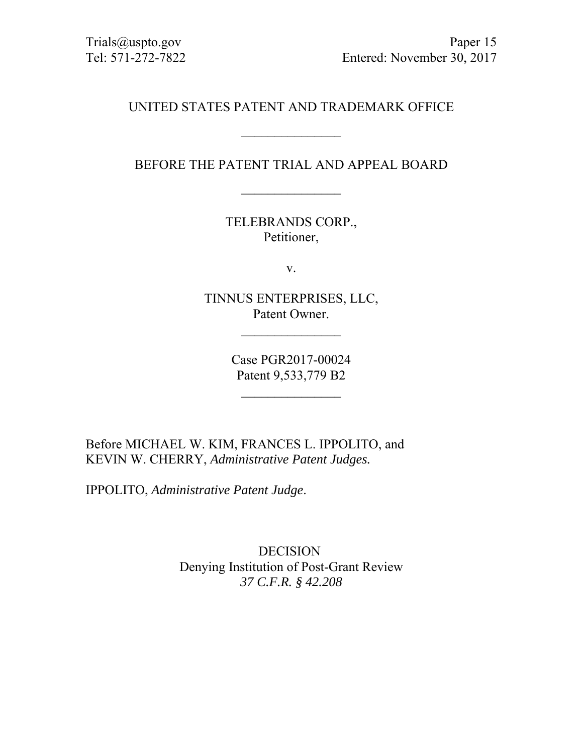## UNITED STATES PATENT AND TRADEMARK OFFICE

 $\mathcal{L}_\text{max}$ 

BEFORE THE PATENT TRIAL AND APPEAL BOARD

TELEBRANDS CORP., Petitioner,

v.

TINNUS ENTERPRISES, LLC, Patent Owner.

 $\frac{1}{2}$ 

Case PGR2017-00024 Patent 9,533,779 B2

 $\frac{1}{2}$ 

Before MICHAEL W. KIM, FRANCES L. IPPOLITO, and KEVIN W. CHERRY, *Administrative Patent Judges.* 

IPPOLITO, *Administrative Patent Judge*.

DECISION Denying Institution of Post-Grant Review *37 C.F.R. § 42.208*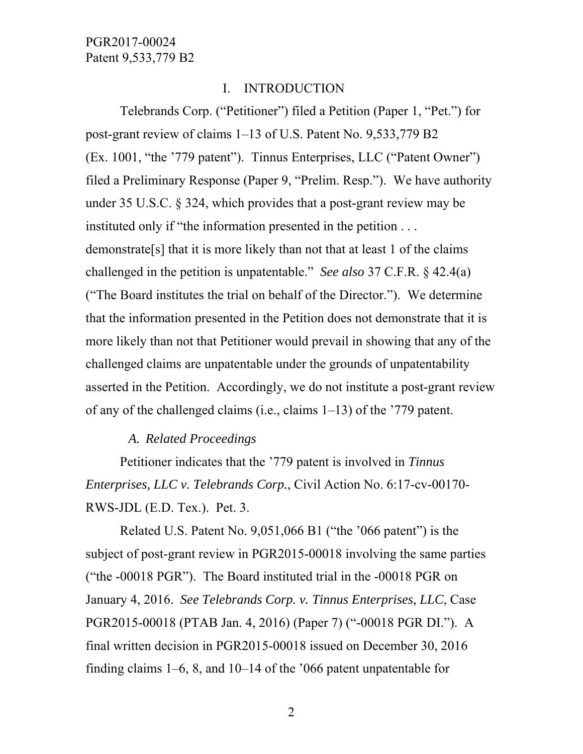### I. INTRODUCTION

Telebrands Corp. ("Petitioner") filed a Petition (Paper 1, "Pet.") for post-grant review of claims 1–13 of U.S. Patent No. 9,533,779 B2 (Ex. 1001, "the '779 patent"). Tinnus Enterprises, LLC ("Patent Owner") filed a Preliminary Response (Paper 9, "Prelim. Resp."). We have authority under 35 U.S.C. § 324, which provides that a post-grant review may be instituted only if "the information presented in the petition . . . demonstrate[s] that it is more likely than not that at least 1 of the claims challenged in the petition is unpatentable." *See also* 37 C.F.R. § 42.4(a) ("The Board institutes the trial on behalf of the Director."). We determine that the information presented in the Petition does not demonstrate that it is more likely than not that Petitioner would prevail in showing that any of the challenged claims are unpatentable under the grounds of unpatentability asserted in the Petition. Accordingly, we do not institute a post-grant review of any of the challenged claims (i.e., claims 1–13) of the '779 patent.

#### *A. Related Proceedings*

Petitioner indicates that the '779 patent is involved in *Tinnus Enterprises, LLC v. Telebrands Corp.*, Civil Action No. 6:17-cv-00170- RWS-JDL (E.D. Tex.). Pet. 3.

Related U.S. Patent No. 9,051,066 B1 ("the '066 patent") is the subject of post-grant review in PGR2015-00018 involving the same parties ("the -00018 PGR"). The Board instituted trial in the -00018 PGR on January 4, 2016. *See Telebrands Corp. v. Tinnus Enterprises, LLC*, Case PGR2015-00018 (PTAB Jan. 4, 2016) (Paper 7) ("-00018 PGR DI."). A final written decision in PGR2015-00018 issued on December 30, 2016 finding claims 1–6, 8, and 10–14 of the '066 patent unpatentable for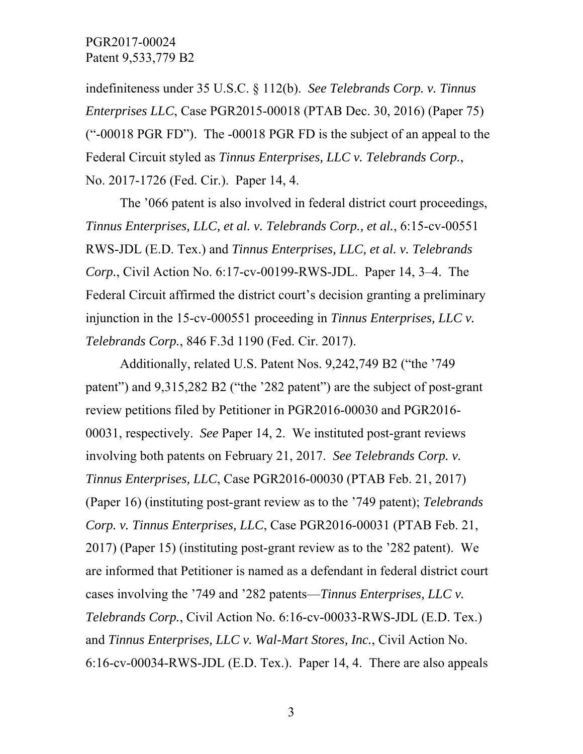indefiniteness under 35 U.S.C. § 112(b). *See Telebrands Corp. v. Tinnus Enterprises LLC*, Case PGR2015-00018 (PTAB Dec. 30, 2016) (Paper 75) ("-00018 PGR FD"). The -00018 PGR FD is the subject of an appeal to the Federal Circuit styled as *Tinnus Enterprises, LLC v. Telebrands Corp.*, No. 2017-1726 (Fed. Cir.). Paper 14, 4.

The '066 patent is also involved in federal district court proceedings, *Tinnus Enterprises, LLC, et al. v. Telebrands Corp., et al.*, 6:15-cv-00551 RWS-JDL (E.D. Tex.) and *Tinnus Enterprises, LLC, et al. v. Telebrands Corp.*, Civil Action No. 6:17-cv-00199-RWS-JDL. Paper 14, 3–4. The Federal Circuit affirmed the district court's decision granting a preliminary injunction in the 15-cv-000551 proceeding in *Tinnus Enterprises, LLC v. Telebrands Corp.*, 846 F.3d 1190 (Fed. Cir. 2017).

Additionally, related U.S. Patent Nos. 9,242,749 B2 ("the '749 patent") and 9,315,282 B2 ("the '282 patent") are the subject of post-grant review petitions filed by Petitioner in PGR2016-00030 and PGR2016- 00031, respectively. *See* Paper 14, 2. We instituted post-grant reviews involving both patents on February 21, 2017. *See Telebrands Corp. v. Tinnus Enterprises, LLC*, Case PGR2016-00030 (PTAB Feb. 21, 2017) (Paper 16) (instituting post-grant review as to the '749 patent); *Telebrands Corp. v. Tinnus Enterprises, LLC*, Case PGR2016-00031 (PTAB Feb. 21, 2017) (Paper 15) (instituting post-grant review as to the '282 patent). We are informed that Petitioner is named as a defendant in federal district court cases involving the '749 and '282 patents—*Tinnus Enterprises, LLC v. Telebrands Corp.*, Civil Action No. 6:16-cv-00033-RWS-JDL (E.D. Tex.) and *Tinnus Enterprises, LLC v. Wal-Mart Stores, Inc.*, Civil Action No. 6:16-cv-00034-RWS-JDL (E.D. Tex.). Paper 14, 4. There are also appeals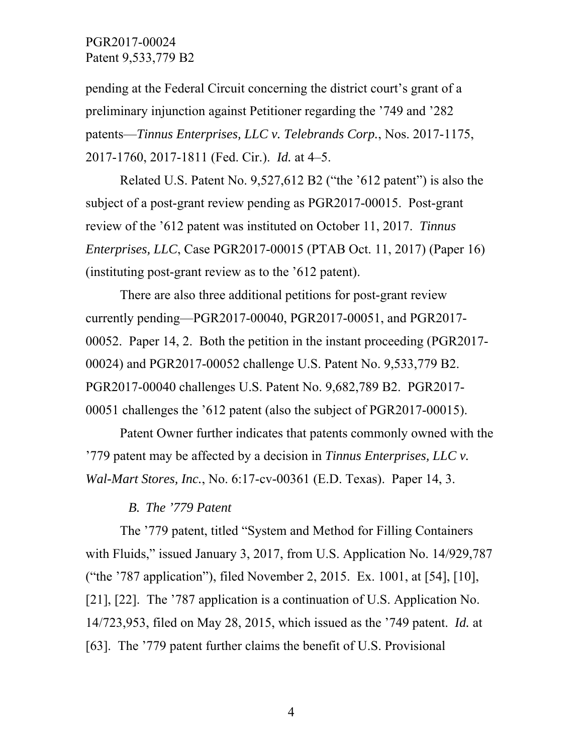pending at the Federal Circuit concerning the district court's grant of a preliminary injunction against Petitioner regarding the '749 and '282 patents—*Tinnus Enterprises, LLC v. Telebrands Corp.*, Nos. 2017-1175, 2017-1760, 2017-1811 (Fed. Cir.). *Id.* at 4–5.

Related U.S. Patent No. 9,527,612 B2 ("the '612 patent") is also the subject of a post-grant review pending as PGR2017-00015. Post-grant review of the '612 patent was instituted on October 11, 2017. *Tinnus Enterprises, LLC*, Case PGR2017-00015 (PTAB Oct. 11, 2017) (Paper 16) (instituting post-grant review as to the '612 patent).

There are also three additional petitions for post-grant review currently pending—PGR2017-00040, PGR2017-00051, and PGR2017- 00052. Paper 14, 2. Both the petition in the instant proceeding (PGR2017- 00024) and PGR2017-00052 challenge U.S. Patent No. 9,533,779 B2. PGR2017-00040 challenges U.S. Patent No. 9,682,789 B2. PGR2017- 00051 challenges the '612 patent (also the subject of PGR2017-00015).

Patent Owner further indicates that patents commonly owned with the '779 patent may be affected by a decision in *Tinnus Enterprises, LLC v. Wal-Mart Stores, Inc.*, No. 6:17-cv-00361 (E.D. Texas). Paper 14, 3.

#### *B. The '779 Patent*

 The '779 patent, titled "System and Method for Filling Containers with Fluids," issued January 3, 2017, from U.S. Application No. 14/929,787 ("the '787 application"), filed November 2, 2015. Ex. 1001, at [54], [10], [21], [22]. The '787 application is a continuation of U.S. Application No. 14/723,953, filed on May 28, 2015, which issued as the '749 patent. *Id.* at [63]. The '779 patent further claims the benefit of U.S. Provisional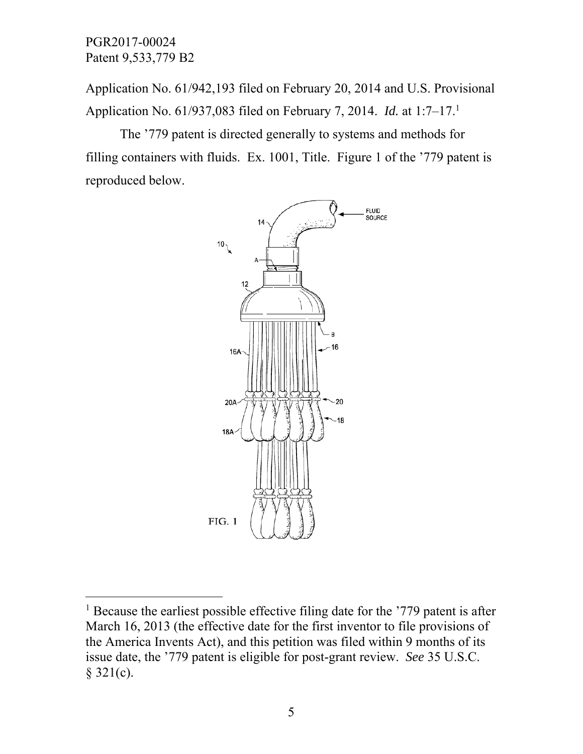$\overline{a}$ 

Application No. 61/942,193 filed on February 20, 2014 and U.S. Provisional Application No. 61/937,083 filed on February 7, 2014. *Id.* at 1:7–17.1

The '779 patent is directed generally to systems and methods for filling containers with fluids. Ex. 1001, Title. Figure 1 of the '779 patent is reproduced below.



<sup>&</sup>lt;sup>1</sup> Because the earliest possible effective filing date for the '779 patent is after March 16, 2013 (the effective date for the first inventor to file provisions of the America Invents Act), and this petition was filed within 9 months of its issue date, the '779 patent is eligible for post-grant review. *See* 35 U.S.C.  $§$  321(c).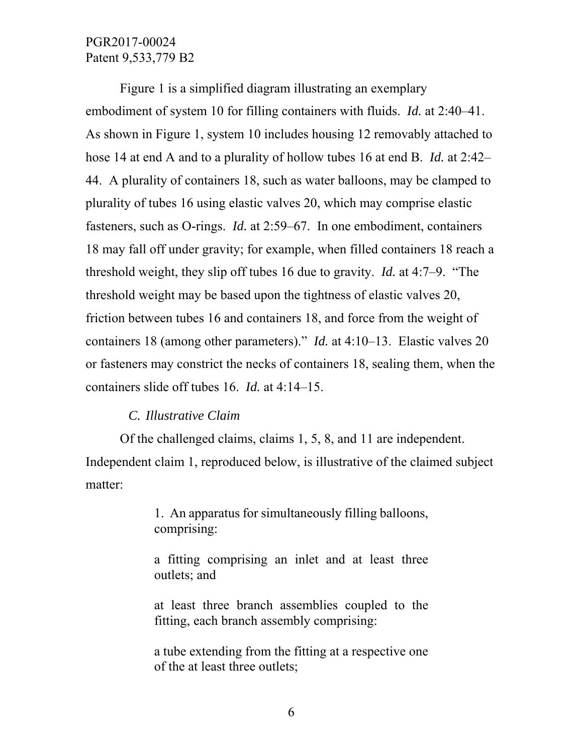Figure 1 is a simplified diagram illustrating an exemplary embodiment of system 10 for filling containers with fluids. *Id.* at 2:40–41. As shown in Figure 1, system 10 includes housing 12 removably attached to hose 14 at end A and to a plurality of hollow tubes 16 at end B. *Id.* at 2:42– 44. A plurality of containers 18, such as water balloons, may be clamped to plurality of tubes 16 using elastic valves 20, which may comprise elastic fasteners, such as O-rings. *Id.* at 2:59–67. In one embodiment, containers 18 may fall off under gravity; for example, when filled containers 18 reach a threshold weight, they slip off tubes 16 due to gravity. *Id.* at 4:7–9. "The threshold weight may be based upon the tightness of elastic valves 20, friction between tubes 16 and containers 18, and force from the weight of containers 18 (among other parameters)." *Id.* at 4:10–13. Elastic valves 20 or fasteners may constrict the necks of containers 18, sealing them, when the containers slide off tubes 16. *Id.* at 4:14–15.

#### *C. Illustrative Claim*

Of the challenged claims, claims 1, 5, 8, and 11 are independent. Independent claim 1, reproduced below, is illustrative of the claimed subject matter:

> 1. An apparatus for simultaneously filling balloons, comprising:

> a fitting comprising an inlet and at least three outlets; and

> at least three branch assemblies coupled to the fitting, each branch assembly comprising:

> a tube extending from the fitting at a respective one of the at least three outlets;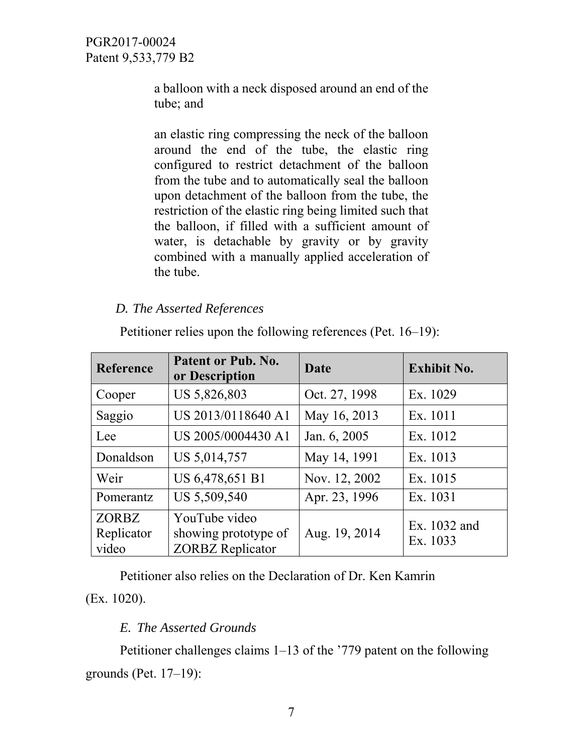a balloon with a neck disposed around an end of the tube; and

an elastic ring compressing the neck of the balloon around the end of the tube, the elastic ring configured to restrict detachment of the balloon from the tube and to automatically seal the balloon upon detachment of the balloon from the tube, the restriction of the elastic ring being limited such that the balloon, if filled with a sufficient amount of water, is detachable by gravity or by gravity combined with a manually applied acceleration of the tube.

## *D. The Asserted References*

| <b>Reference</b>                    | Patent or Pub. No.<br>or Description                             | Date          | <b>Exhibit No.</b>       |
|-------------------------------------|------------------------------------------------------------------|---------------|--------------------------|
| Cooper                              | US 5,826,803                                                     | Oct. 27, 1998 | Ex. 1029                 |
| Saggio                              | US 2013/0118640 A1                                               | May 16, 2013  | Ex. 1011                 |
| Lee                                 | US 2005/0004430 A1                                               | Jan. 6, 2005  | Ex. 1012                 |
| Donaldson                           | US 5,014,757                                                     | May 14, 1991  | Ex. 1013                 |
| Weir                                | US 6,478,651 B1                                                  | Nov. 12, 2002 | Ex. 1015                 |
| Pomerantz                           | US 5,509,540                                                     | Apr. 23, 1996 | Ex. 1031                 |
| <b>ZORBZ</b><br>Replicator<br>video | YouTube video<br>showing prototype of<br><b>ZORBZ</b> Replicator | Aug. 19, 2014 | Ex. 1032 and<br>Ex. 1033 |

Petitioner relies upon the following references (Pet. 16–19):

Petitioner also relies on the Declaration of Dr. Ken Kamrin (Ex. 1020).

## *E. The Asserted Grounds*

Petitioner challenges claims 1–13 of the '779 patent on the following grounds (Pet. 17–19):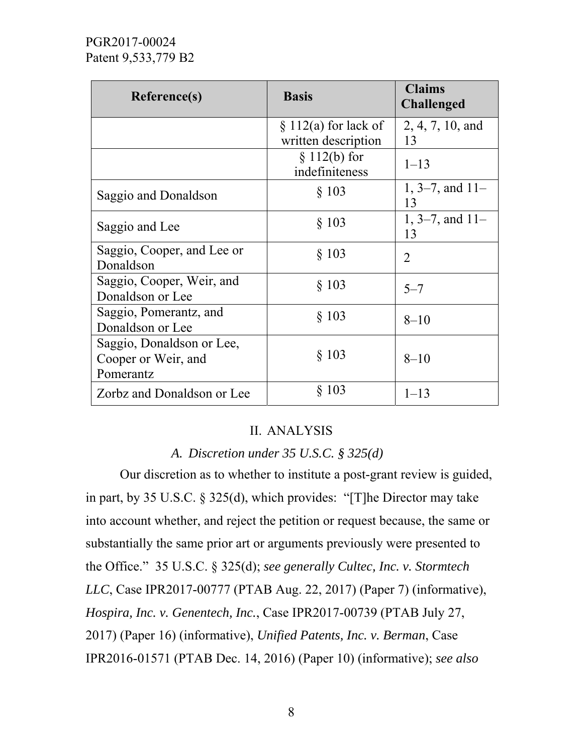| Reference(s)                                                  | <b>Basis</b>                      | <b>Claims</b><br><b>Challenged</b> |
|---------------------------------------------------------------|-----------------------------------|------------------------------------|
|                                                               | $\S 112(a)$ for lack of           | 2, 4, 7, 10, and                   |
|                                                               | written description               | 13                                 |
|                                                               | $\S 112(b)$ for<br>indefiniteness | $1 - 13$                           |
| Saggio and Donaldson                                          | $§$ 103                           | $1, 3-7,$ and $11-$<br>13          |
| Saggio and Lee                                                | $§$ 103                           | 1, 3–7, and $11-$<br>13            |
| Saggio, Cooper, and Lee or<br>Donaldson                       | $§$ 103                           | $\overline{2}$                     |
| Saggio, Cooper, Weir, and<br>Donaldson or Lee                 | § 103                             | $5 - 7$                            |
| Saggio, Pomerantz, and<br>Donaldson or Lee                    | § 103                             | $8 - 10$                           |
| Saggio, Donaldson or Lee,<br>Cooper or Weir, and<br>Pomerantz | $§$ 103                           | $8 - 10$                           |
| Zorbz and Donaldson or Lee                                    | $§$ 103                           | $1 - 13$                           |

#### II. ANALYSIS

## *A. Discretion under 35 U.S.C. § 325(d)*

Our discretion as to whether to institute a post-grant review is guided, in part, by 35 U.S.C. § 325(d), which provides: "[T]he Director may take into account whether, and reject the petition or request because, the same or substantially the same prior art or arguments previously were presented to the Office." 35 U.S.C. § 325(d); *see generally Cultec, Inc. v. Stormtech LLC*, Case IPR2017-00777 (PTAB Aug. 22, 2017) (Paper 7) (informative), *Hospira, Inc. v. Genentech, Inc.*, Case IPR2017-00739 (PTAB July 27, 2017) (Paper 16) (informative), *Unified Patents, Inc. v. Berman*, Case IPR2016-01571 (PTAB Dec. 14, 2016) (Paper 10) (informative); *see also*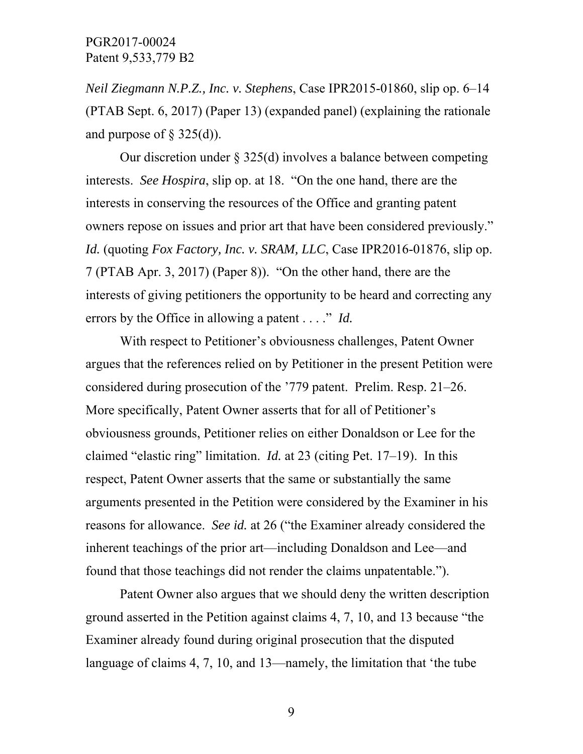*Neil Ziegmann N.P.Z., Inc. v. Stephens*, Case IPR2015-01860, slip op. 6–14 (PTAB Sept. 6, 2017) (Paper 13) (expanded panel) (explaining the rationale and purpose of  $\S$  325(d)).

Our discretion under  $\S 325(d)$  involves a balance between competing interests. *See Hospira*, slip op. at 18. "On the one hand, there are the interests in conserving the resources of the Office and granting patent owners repose on issues and prior art that have been considered previously." *Id.* (quoting *Fox Factory, Inc. v. SRAM, LLC*, Case IPR2016-01876, slip op. 7 (PTAB Apr. 3, 2017) (Paper 8)). "On the other hand, there are the interests of giving petitioners the opportunity to be heard and correcting any errors by the Office in allowing a patent . . . ." *Id.* 

With respect to Petitioner's obviousness challenges, Patent Owner argues that the references relied on by Petitioner in the present Petition were considered during prosecution of the '779 patent. Prelim. Resp. 21–26. More specifically, Patent Owner asserts that for all of Petitioner's obviousness grounds, Petitioner relies on either Donaldson or Lee for the claimed "elastic ring" limitation. *Id.* at 23 (citing Pet. 17–19). In this respect, Patent Owner asserts that the same or substantially the same arguments presented in the Petition were considered by the Examiner in his reasons for allowance. *See id.* at 26 ("the Examiner already considered the inherent teachings of the prior art—including Donaldson and Lee—and found that those teachings did not render the claims unpatentable.").

Patent Owner also argues that we should deny the written description ground asserted in the Petition against claims 4, 7, 10, and 13 because "the Examiner already found during original prosecution that the disputed language of claims 4, 7, 10, and 13—namely, the limitation that 'the tube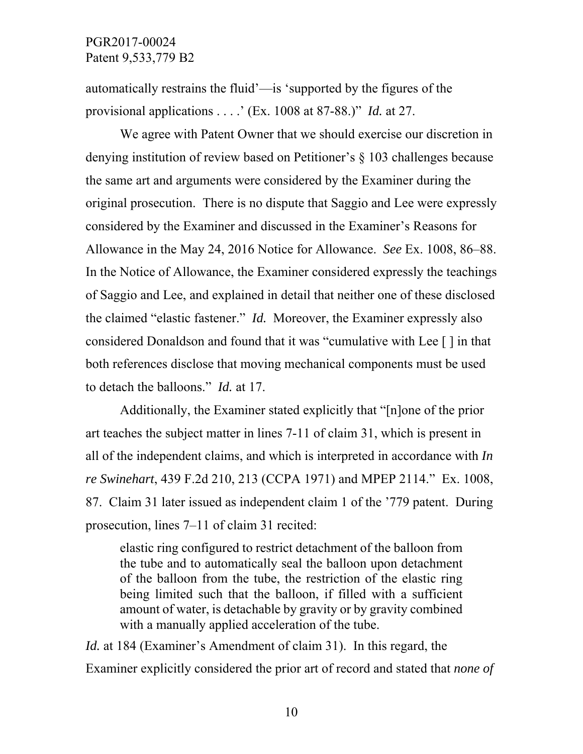automatically restrains the fluid'—is 'supported by the figures of the provisional applications . . . .' (Ex. 1008 at 87-88.)" *Id.* at 27.

We agree with Patent Owner that we should exercise our discretion in denying institution of review based on Petitioner's § 103 challenges because the same art and arguments were considered by the Examiner during the original prosecution. There is no dispute that Saggio and Lee were expressly considered by the Examiner and discussed in the Examiner's Reasons for Allowance in the May 24, 2016 Notice for Allowance. *See* Ex. 1008, 86–88. In the Notice of Allowance, the Examiner considered expressly the teachings of Saggio and Lee, and explained in detail that neither one of these disclosed the claimed "elastic fastener." *Id.* Moreover, the Examiner expressly also considered Donaldson and found that it was "cumulative with Lee [ ] in that both references disclose that moving mechanical components must be used to detach the balloons." *Id.* at 17.

Additionally, the Examiner stated explicitly that "[n]one of the prior art teaches the subject matter in lines 7-11 of claim 31, which is present in all of the independent claims, and which is interpreted in accordance with *In re Swinehart*, 439 F.2d 210, 213 (CCPA 1971) and MPEP 2114." Ex. 1008, 87. Claim 31 later issued as independent claim 1 of the '779 patent. During prosecution, lines 7–11 of claim 31 recited:

elastic ring configured to restrict detachment of the balloon from the tube and to automatically seal the balloon upon detachment of the balloon from the tube, the restriction of the elastic ring being limited such that the balloon, if filled with a sufficient amount of water, is detachable by gravity or by gravity combined with a manually applied acceleration of the tube.

*Id.* at 184 (Examiner's Amendment of claim 31). In this regard, the Examiner explicitly considered the prior art of record and stated that *none of*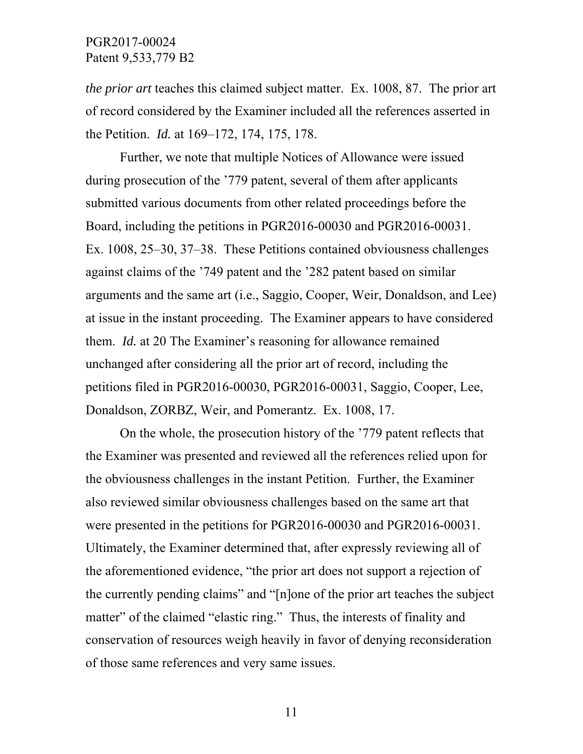*the prior art* teaches this claimed subject matter. Ex. 1008, 87. The prior art of record considered by the Examiner included all the references asserted in the Petition. *Id.* at 169–172, 174, 175, 178.

Further, we note that multiple Notices of Allowance were issued during prosecution of the '779 patent, several of them after applicants submitted various documents from other related proceedings before the Board, including the petitions in PGR2016-00030 and PGR2016-00031. Ex. 1008, 25–30, 37–38. These Petitions contained obviousness challenges against claims of the '749 patent and the '282 patent based on similar arguments and the same art (i.e., Saggio, Cooper, Weir, Donaldson, and Lee) at issue in the instant proceeding. The Examiner appears to have considered them. *Id.* at 20 The Examiner's reasoning for allowance remained unchanged after considering all the prior art of record, including the petitions filed in PGR2016-00030, PGR2016-00031, Saggio, Cooper, Lee, Donaldson, ZORBZ, Weir, and Pomerantz. Ex. 1008, 17.

On the whole, the prosecution history of the '779 patent reflects that the Examiner was presented and reviewed all the references relied upon for the obviousness challenges in the instant Petition. Further, the Examiner also reviewed similar obviousness challenges based on the same art that were presented in the petitions for PGR2016-00030 and PGR2016-00031. Ultimately, the Examiner determined that, after expressly reviewing all of the aforementioned evidence, "the prior art does not support a rejection of the currently pending claims" and "[n]one of the prior art teaches the subject matter" of the claimed "elastic ring." Thus, the interests of finality and conservation of resources weigh heavily in favor of denying reconsideration of those same references and very same issues.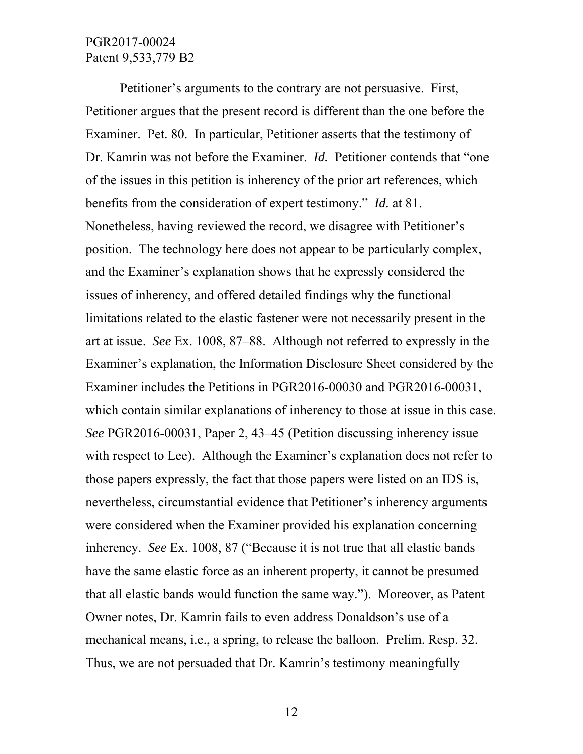Petitioner's arguments to the contrary are not persuasive. First, Petitioner argues that the present record is different than the one before the Examiner. Pet. 80. In particular, Petitioner asserts that the testimony of Dr. Kamrin was not before the Examiner. *Id.* Petitioner contends that "one of the issues in this petition is inherency of the prior art references, which benefits from the consideration of expert testimony." *Id.* at 81. Nonetheless, having reviewed the record, we disagree with Petitioner's position. The technology here does not appear to be particularly complex, and the Examiner's explanation shows that he expressly considered the issues of inherency, and offered detailed findings why the functional limitations related to the elastic fastener were not necessarily present in the art at issue. *See* Ex. 1008, 87–88. Although not referred to expressly in the Examiner's explanation, the Information Disclosure Sheet considered by the Examiner includes the Petitions in PGR2016-00030 and PGR2016-00031, which contain similar explanations of inherency to those at issue in this case. *See* PGR2016-00031, Paper 2, 43–45 (Petition discussing inherency issue with respect to Lee). Although the Examiner's explanation does not refer to those papers expressly, the fact that those papers were listed on an IDS is, nevertheless, circumstantial evidence that Petitioner's inherency arguments were considered when the Examiner provided his explanation concerning inherency. *See* Ex. 1008, 87 ("Because it is not true that all elastic bands have the same elastic force as an inherent property, it cannot be presumed that all elastic bands would function the same way."). Moreover, as Patent Owner notes, Dr. Kamrin fails to even address Donaldson's use of a mechanical means, i.e., a spring, to release the balloon. Prelim. Resp. 32. Thus, we are not persuaded that Dr. Kamrin's testimony meaningfully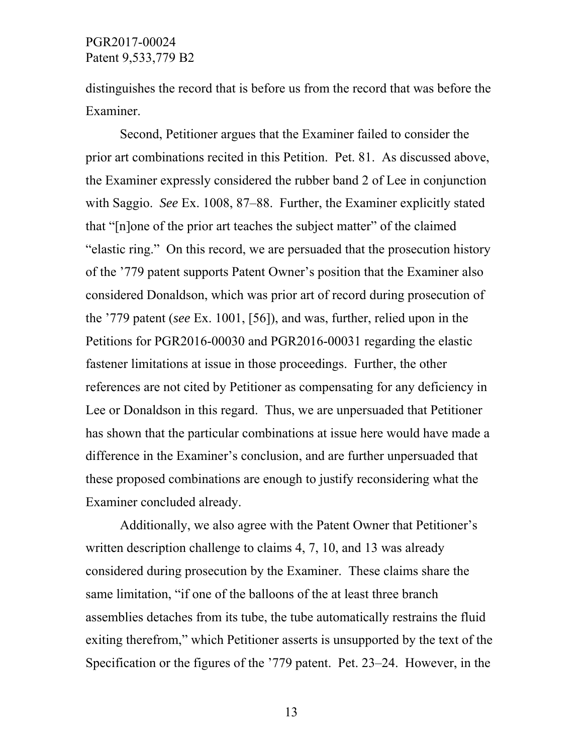distinguishes the record that is before us from the record that was before the Examiner.

Second, Petitioner argues that the Examiner failed to consider the prior art combinations recited in this Petition. Pet. 81. As discussed above, the Examiner expressly considered the rubber band 2 of Lee in conjunction with Saggio. *See* Ex. 1008, 87–88. Further, the Examiner explicitly stated that "[n]one of the prior art teaches the subject matter" of the claimed "elastic ring." On this record, we are persuaded that the prosecution history of the '779 patent supports Patent Owner's position that the Examiner also considered Donaldson, which was prior art of record during prosecution of the '779 patent (*see* Ex. 1001, [56]), and was, further, relied upon in the Petitions for PGR2016-00030 and PGR2016-00031 regarding the elastic fastener limitations at issue in those proceedings. Further, the other references are not cited by Petitioner as compensating for any deficiency in Lee or Donaldson in this regard. Thus, we are unpersuaded that Petitioner has shown that the particular combinations at issue here would have made a difference in the Examiner's conclusion, and are further unpersuaded that these proposed combinations are enough to justify reconsidering what the Examiner concluded already.

Additionally, we also agree with the Patent Owner that Petitioner's written description challenge to claims 4, 7, 10, and 13 was already considered during prosecution by the Examiner. These claims share the same limitation, "if one of the balloons of the at least three branch assemblies detaches from its tube, the tube automatically restrains the fluid exiting therefrom," which Petitioner asserts is unsupported by the text of the Specification or the figures of the '779 patent. Pet. 23–24. However, in the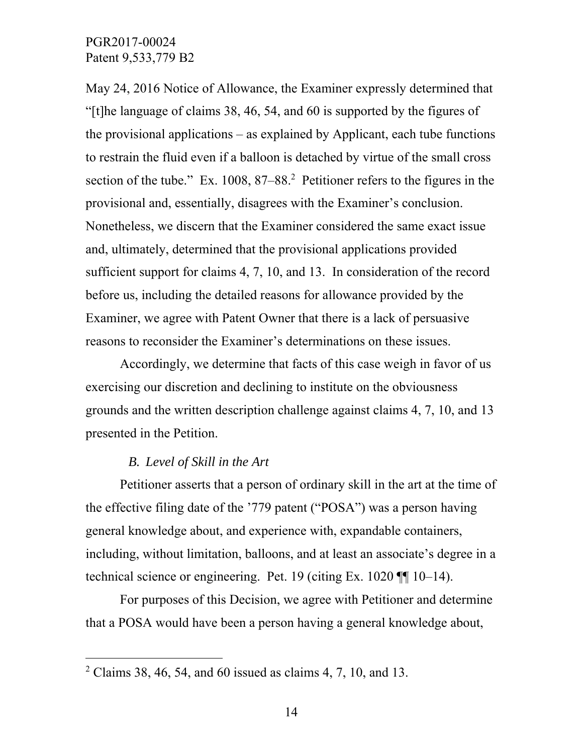May 24, 2016 Notice of Allowance, the Examiner expressly determined that "[t]he language of claims 38, 46, 54, and 60 is supported by the figures of the provisional applications – as explained by Applicant, each tube functions to restrain the fluid even if a balloon is detached by virtue of the small cross section of the tube." Ex.  $1008$ ,  $87-88$ . Petitioner refers to the figures in the provisional and, essentially, disagrees with the Examiner's conclusion. Nonetheless, we discern that the Examiner considered the same exact issue and, ultimately, determined that the provisional applications provided sufficient support for claims 4, 7, 10, and 13. In consideration of the record before us, including the detailed reasons for allowance provided by the Examiner, we agree with Patent Owner that there is a lack of persuasive reasons to reconsider the Examiner's determinations on these issues.

Accordingly, we determine that facts of this case weigh in favor of us exercising our discretion and declining to institute on the obviousness grounds and the written description challenge against claims 4, 7, 10, and 13 presented in the Petition.

#### *B. Level of Skill in the Art*

 $\overline{a}$ 

Petitioner asserts that a person of ordinary skill in the art at the time of the effective filing date of the '779 patent ("POSA") was a person having general knowledge about, and experience with, expandable containers, including, without limitation, balloons, and at least an associate's degree in a technical science or engineering. Pet. 19 (citing Ex. 1020 ¶¶ 10–14).

For purposes of this Decision, we agree with Petitioner and determine that a POSA would have been a person having a general knowledge about,

<sup>&</sup>lt;sup>2</sup> Claims 38, 46, 54, and 60 issued as claims 4, 7, 10, and 13.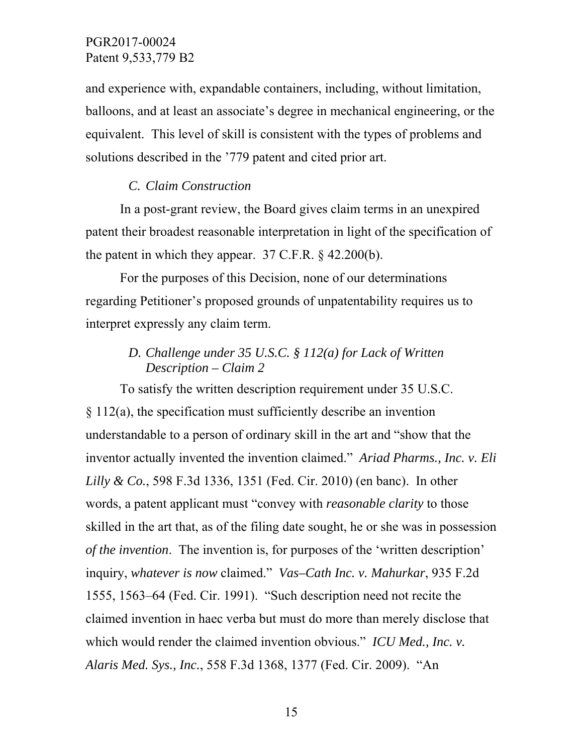and experience with, expandable containers, including, without limitation, balloons, and at least an associate's degree in mechanical engineering, or the equivalent. This level of skill is consistent with the types of problems and solutions described in the '779 patent and cited prior art.

#### *C. Claim Construction*

In a post-grant review, the Board gives claim terms in an unexpired patent their broadest reasonable interpretation in light of the specification of the patent in which they appear.  $37$  C.F.R. § 42.200(b).

For the purposes of this Decision, none of our determinations regarding Petitioner's proposed grounds of unpatentability requires us to interpret expressly any claim term.

## *D. Challenge under 35 U.S.C. § 112(a) for Lack of Written Description – Claim 2*

To satisfy the written description requirement under 35 U.S.C. § 112(a), the specification must sufficiently describe an invention understandable to a person of ordinary skill in the art and "show that the inventor actually invented the invention claimed." *Ariad Pharms., Inc. v. Eli Lilly & Co.*, 598 F.3d 1336, 1351 (Fed. Cir. 2010) (en banc). In other words, a patent applicant must "convey with *reasonable clarity* to those skilled in the art that, as of the filing date sought, he or she was in possession *of the invention*. The invention is, for purposes of the 'written description' inquiry, *whatever is now* claimed." *Vas–Cath Inc. v. Mahurkar*, 935 F.2d 1555, 1563–64 (Fed. Cir. 1991). "Such description need not recite the claimed invention in haec verba but must do more than merely disclose that which would render the claimed invention obvious." *ICU Med., Inc. v. Alaris Med. Sys., Inc.*, 558 F.3d 1368, 1377 (Fed. Cir. 2009). "An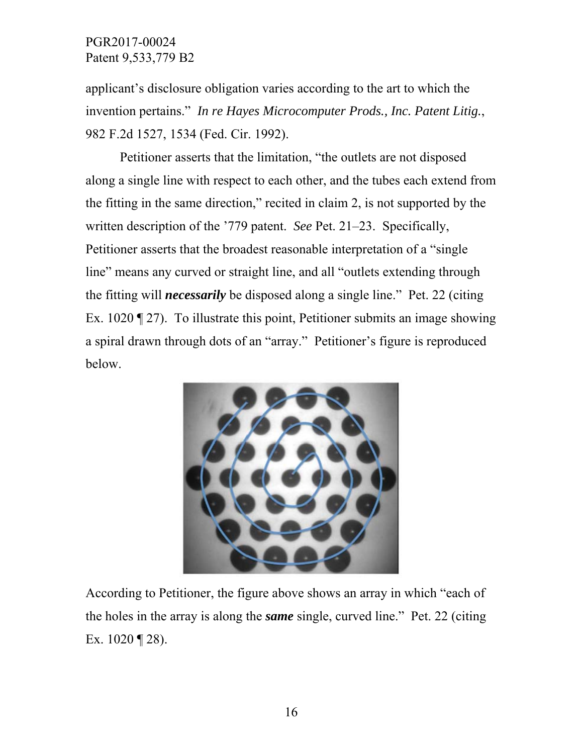applicant's disclosure obligation varies according to the art to which the invention pertains." *In re Hayes Microcomputer Prods., Inc. Patent Litig.*, 982 F.2d 1527, 1534 (Fed. Cir. 1992).

Petitioner asserts that the limitation, "the outlets are not disposed along a single line with respect to each other, and the tubes each extend from the fitting in the same direction," recited in claim 2, is not supported by the written description of the '779 patent. *See* Pet. 21–23. Specifically, Petitioner asserts that the broadest reasonable interpretation of a "single line" means any curved or straight line, and all "outlets extending through the fitting will *necessarily* be disposed along a single line." Pet. 22 (citing Ex. 1020 ¶ 27). To illustrate this point, Petitioner submits an image showing a spiral drawn through dots of an "array." Petitioner's figure is reproduced below.



According to Petitioner, the figure above shows an array in which "each of the holes in the array is along the *same* single, curved line." Pet. 22 (citing Ex. 1020 ¶ 28).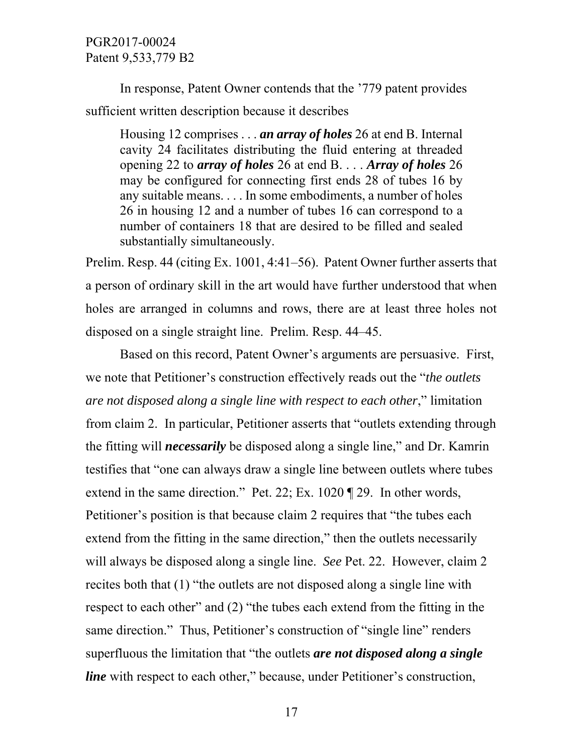In response, Patent Owner contends that the '779 patent provides sufficient written description because it describes

Housing 12 comprises . . . *an array of holes* 26 at end B. Internal cavity 24 facilitates distributing the fluid entering at threaded opening 22 to *array of holes* 26 at end B. . . . *Array of holes* 26 may be configured for connecting first ends 28 of tubes 16 by any suitable means. . . . In some embodiments, a number of holes 26 in housing 12 and a number of tubes 16 can correspond to a number of containers 18 that are desired to be filled and sealed substantially simultaneously.

Prelim. Resp. 44 (citing Ex. 1001, 4:41–56). Patent Owner further asserts that a person of ordinary skill in the art would have further understood that when holes are arranged in columns and rows, there are at least three holes not disposed on a single straight line. Prelim. Resp. 44–45.

Based on this record, Patent Owner's arguments are persuasive. First, we note that Petitioner's construction effectively reads out the "*the outlets are not disposed along a single line with respect to each other*," limitation from claim 2. In particular, Petitioner asserts that "outlets extending through the fitting will *necessarily* be disposed along a single line," and Dr. Kamrin testifies that "one can always draw a single line between outlets where tubes extend in the same direction." Pet. 22; Ex. 1020 ¶ 29. In other words, Petitioner's position is that because claim 2 requires that "the tubes each extend from the fitting in the same direction," then the outlets necessarily will always be disposed along a single line. *See* Pet. 22. However, claim 2 recites both that (1) "the outlets are not disposed along a single line with respect to each other" and (2) "the tubes each extend from the fitting in the same direction." Thus, Petitioner's construction of "single line" renders superfluous the limitation that "the outlets *are not disposed along a single line* with respect to each other," because, under Petitioner's construction,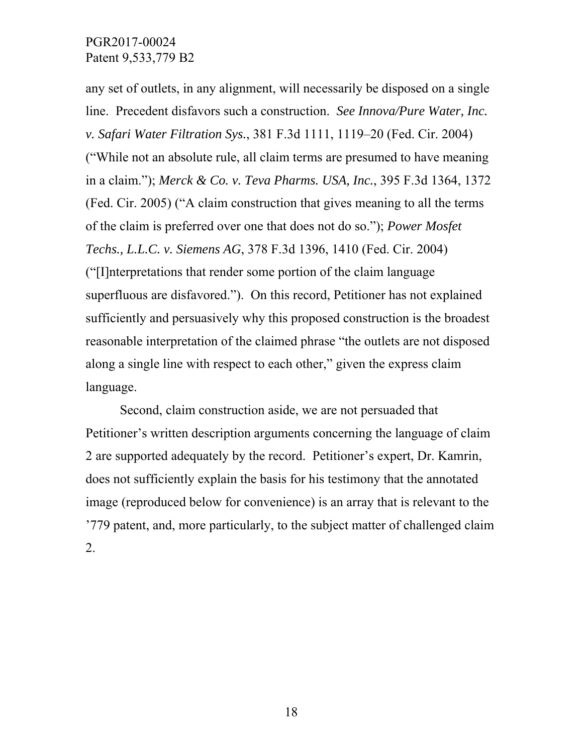any set of outlets, in any alignment, will necessarily be disposed on a single line. Precedent disfavors such a construction. *See Innova/Pure Water, Inc. v. Safari Water Filtration Sys.*, 381 F.3d 1111, 1119–20 (Fed. Cir. 2004) ("While not an absolute rule, all claim terms are presumed to have meaning in a claim."); *Merck & Co. v. Teva Pharms. USA, Inc.*, 395 F.3d 1364, 1372 (Fed. Cir. 2005) ("A claim construction that gives meaning to all the terms of the claim is preferred over one that does not do so."); *Power Mosfet Techs., L.L.C. v. Siemens AG*, 378 F.3d 1396, 1410 (Fed. Cir. 2004) ("[I]nterpretations that render some portion of the claim language superfluous are disfavored."). On this record, Petitioner has not explained sufficiently and persuasively why this proposed construction is the broadest reasonable interpretation of the claimed phrase "the outlets are not disposed along a single line with respect to each other," given the express claim language.

Second, claim construction aside, we are not persuaded that Petitioner's written description arguments concerning the language of claim 2 are supported adequately by the record. Petitioner's expert, Dr. Kamrin, does not sufficiently explain the basis for his testimony that the annotated image (reproduced below for convenience) is an array that is relevant to the '779 patent, and, more particularly, to the subject matter of challenged claim 2.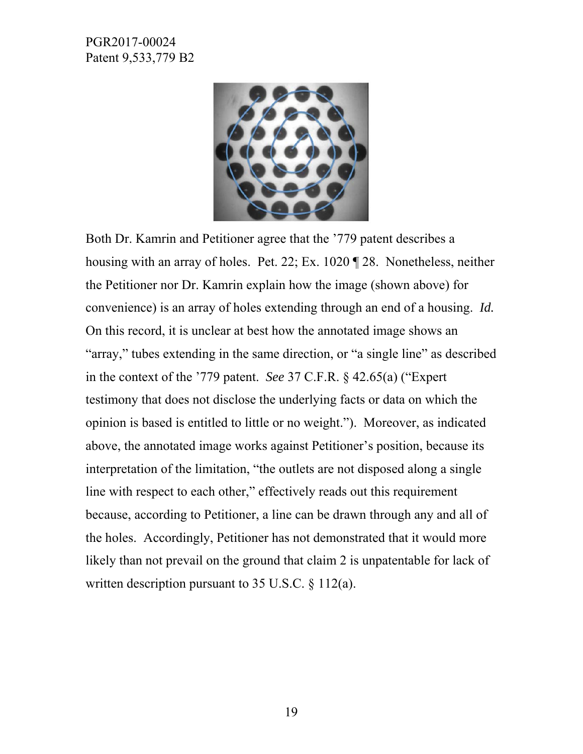

Both Dr. Kamrin and Petitioner agree that the '779 patent describes a housing with an array of holes. Pet. 22; Ex. 1020 ¶ 28. Nonetheless, neither the Petitioner nor Dr. Kamrin explain how the image (shown above) for convenience) is an array of holes extending through an end of a housing. *Id.*  On this record, it is unclear at best how the annotated image shows an "array," tubes extending in the same direction, or "a single line" as described in the context of the '779 patent. *See* 37 C.F.R. § 42.65(a) ("Expert testimony that does not disclose the underlying facts or data on which the opinion is based is entitled to little or no weight."). Moreover, as indicated above, the annotated image works against Petitioner's position, because its interpretation of the limitation, "the outlets are not disposed along a single line with respect to each other," effectively reads out this requirement because, according to Petitioner, a line can be drawn through any and all of the holes. Accordingly, Petitioner has not demonstrated that it would more likely than not prevail on the ground that claim 2 is unpatentable for lack of written description pursuant to 35 U.S.C. § 112(a).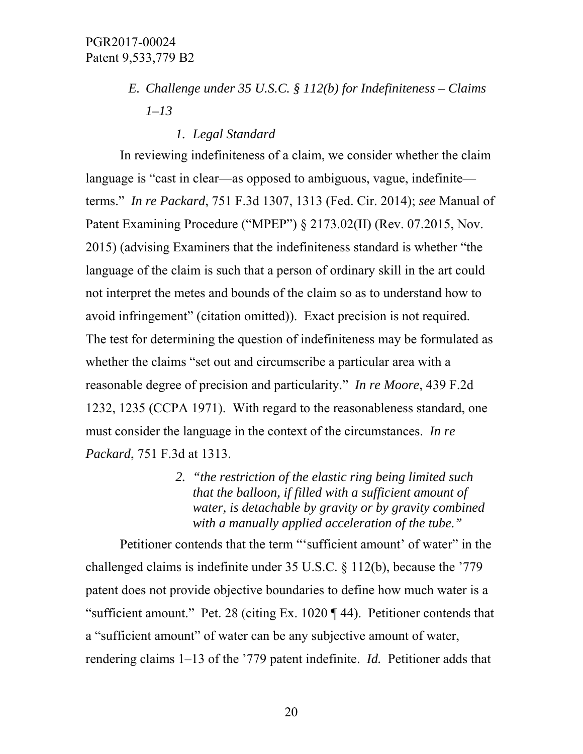- *E. Challenge under 35 U.S.C. § 112(b) for Indefiniteness Claims 1–13* 
	- *1. Legal Standard*

In reviewing indefiniteness of a claim, we consider whether the claim language is "cast in clear—as opposed to ambiguous, vague, indefinite terms." *In re Packard*, 751 F.3d 1307, 1313 (Fed. Cir. 2014); *see* Manual of Patent Examining Procedure ("MPEP") § 2173.02(II) (Rev. 07.2015, Nov. 2015) (advising Examiners that the indefiniteness standard is whether "the language of the claim is such that a person of ordinary skill in the art could not interpret the metes and bounds of the claim so as to understand how to avoid infringement" (citation omitted)). Exact precision is not required. The test for determining the question of indefiniteness may be formulated as whether the claims "set out and circumscribe a particular area with a reasonable degree of precision and particularity." *In re Moore*, 439 F.2d 1232, 1235 (CCPA 1971). With regard to the reasonableness standard, one must consider the language in the context of the circumstances. *In re Packard*, 751 F.3d at 1313.

> *2. "the restriction of the elastic ring being limited such that the balloon, if filled with a sufficient amount of water, is detachable by gravity or by gravity combined with a manually applied acceleration of the tube."*

Petitioner contends that the term "'sufficient amount' of water" in the challenged claims is indefinite under 35 U.S.C. § 112(b), because the '779 patent does not provide objective boundaries to define how much water is a "sufficient amount." Pet. 28 (citing Ex. 1020 ¶ 44). Petitioner contends that a "sufficient amount" of water can be any subjective amount of water, rendering claims 1–13 of the '779 patent indefinite. *Id.* Petitioner adds that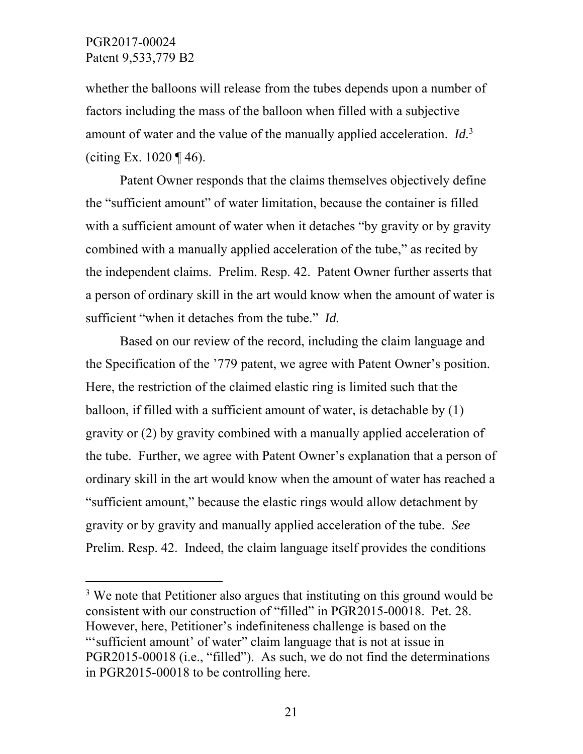$\overline{a}$ 

whether the balloons will release from the tubes depends upon a number of factors including the mass of the balloon when filled with a subjective amount of water and the value of the manually applied acceleration. *Id.*<sup>3</sup> (citing Ex.  $1020 \text{ } \sqrt{\frac{46}{}}$ ).

 Patent Owner responds that the claims themselves objectively define the "sufficient amount" of water limitation, because the container is filled with a sufficient amount of water when it detaches "by gravity or by gravity" combined with a manually applied acceleration of the tube," as recited by the independent claims. Prelim. Resp. 42. Patent Owner further asserts that a person of ordinary skill in the art would know when the amount of water is sufficient "when it detaches from the tube." *Id.*

Based on our review of the record, including the claim language and the Specification of the '779 patent, we agree with Patent Owner's position. Here, the restriction of the claimed elastic ring is limited such that the balloon, if filled with a sufficient amount of water, is detachable by (1) gravity or (2) by gravity combined with a manually applied acceleration of the tube. Further, we agree with Patent Owner's explanation that a person of ordinary skill in the art would know when the amount of water has reached a "sufficient amount," because the elastic rings would allow detachment by gravity or by gravity and manually applied acceleration of the tube. *See* Prelim. Resp. 42. Indeed, the claim language itself provides the conditions

<sup>&</sup>lt;sup>3</sup> We note that Petitioner also argues that instituting on this ground would be consistent with our construction of "filled" in PGR2015-00018. Pet. 28. However, here, Petitioner's indefiniteness challenge is based on the "'sufficient amount' of water" claim language that is not at issue in PGR2015-00018 (i.e., "filled"). As such, we do not find the determinations in PGR2015-00018 to be controlling here.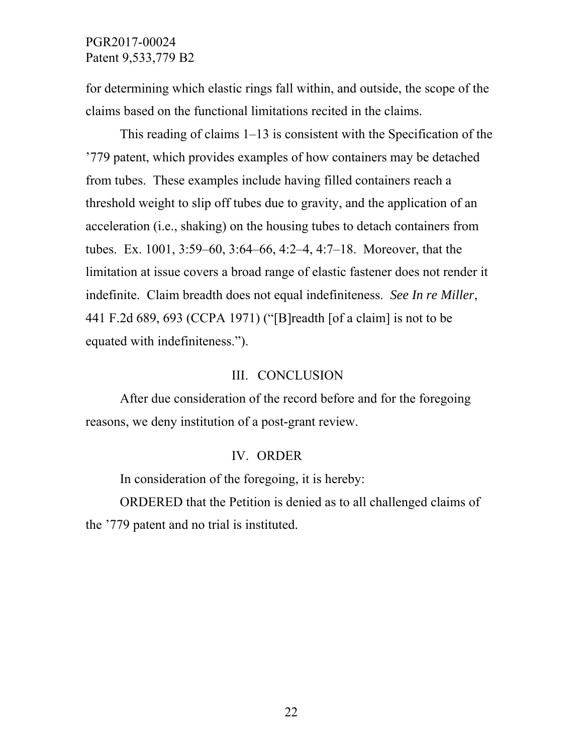for determining which elastic rings fall within, and outside, the scope of the claims based on the functional limitations recited in the claims.

This reading of claims 1–13 is consistent with the Specification of the '779 patent, which provides examples of how containers may be detached from tubes. These examples include having filled containers reach a threshold weight to slip off tubes due to gravity, and the application of an acceleration (i.e., shaking) on the housing tubes to detach containers from tubes. Ex. 1001, 3:59–60, 3:64–66, 4:2–4, 4:7–18. Moreover, that the limitation at issue covers a broad range of elastic fastener does not render it indefinite. Claim breadth does not equal indefiniteness. *See In re Miller*, 441 F.2d 689, 693 (CCPA 1971) ("[B]readth [of a claim] is not to be equated with indefiniteness.").

#### III. CONCLUSION

After due consideration of the record before and for the foregoing reasons, we deny institution of a post-grant review.

#### IV. ORDER

In consideration of the foregoing, it is hereby:

ORDERED that the Petition is denied as to all challenged claims of the '779 patent and no trial is instituted.